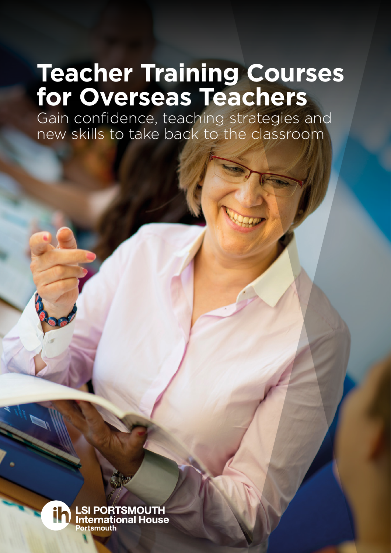# **Teacher Training Courses for Overseas Teachers**

Gain confidence, teaching strategies and new skills to take back to the classroom

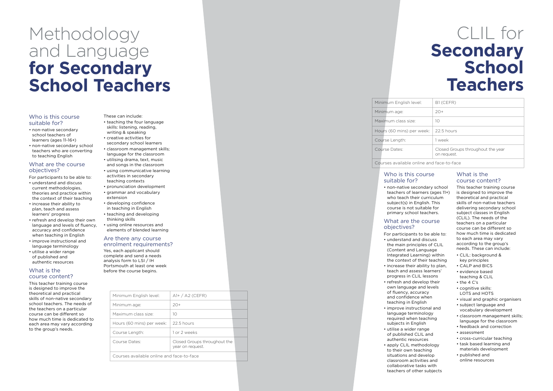| Minimum English level:                    | $A1+ / A2$ (CEFR)                                |  |  |  |  |
|-------------------------------------------|--------------------------------------------------|--|--|--|--|
| Minimum age:                              | $20+$                                            |  |  |  |  |
| Maximum class size:                       | 10                                               |  |  |  |  |
| Hours (60 mins) per week:                 | 22.5 hours                                       |  |  |  |  |
| Course Length:                            | 1 or 2 weeks                                     |  |  |  |  |
| Course Dates:                             | Closed Groups throughout the<br>year on request. |  |  |  |  |
| Courses available online and face-to-face |                                                  |  |  |  |  |

### Minimum English level Minimum age: Maximum class size:

Hours (60 mins) per

Course Length: Course Dates:

| el:                                           | B1 (CEFR)                                        |  |  |  |  |  |
|-----------------------------------------------|--------------------------------------------------|--|--|--|--|--|
|                                               | $20+$                                            |  |  |  |  |  |
|                                               | 10                                               |  |  |  |  |  |
|                                               | week:   22.5 hours                               |  |  |  |  |  |
|                                               | 1 week                                           |  |  |  |  |  |
|                                               | Closed Groups throughout the year<br>on request. |  |  |  |  |  |
| المنابية المتعارض والمتعارض والمستحدث والمتنا |                                                  |  |  |  |  |  |

#### Courses available online and face-to-face

# Methodology and Language **for Secondary School Teachers**

### CLIL for **Secondary School Teachers**

#### Who is this course suitable for?

- non-native secondary school teachers of learners (ages 11-16+)
- non-native secondary school teachers who are converting to teaching English

#### What are the course objectives?

- For participants to be able to: • understand and discuss current methodologies,
- theories and practice within the context of their teaching
- increase their ability to plan, teach and assess learners' progress
- refresh and develop their own language and levels of fluency, accuracy and confidence when teaching in English
- improve instructional and language terminology
- utilise a wider range of published and authentic resources

#### What is the course content?

This teacher training course is designed to improve the theoretical and practical skills of non-native secondary school teachers. The needs of the teachers on a particular course can be different so how much time is dedicated to each area may vary according to the group's needs.

#### These can include:

- teaching the four language skills: listening, reading, writing & speaking
- creative activities for secondary school learners
- classroom management skills; language for the classroom
- utilising drama, text, music and songs in the classroom
- using communicative learning activities in secondary
- teaching contexts
- pronunciation development • grammar and vocabulary
- extension
- developing confidence in teaching in English
- teaching and developing thinking skills
- using online resources and elements of blended learning

#### Are there any course enrolment requirements?

Yes, each applicant should complete and send a needs analysis form to LSI / IH Portsmouth at least one week before the course begins.

#### Who is this course suitable for?

teachers of learners (ages 11+)

• non-native secondary school who teach their curriculum subject(s) in English. This course is not suitable for primary school teachers.

### What are the course objectives?

For participants to be able to: • increase their ability to plan,

- understand and discuss the main principles of CLIL (Content and Language Integrated Learning) within the context of their teaching
- teach and assess learners' progress in CLIL lessons
- refresh and develop their own language and levels of fluency, accuracy and confidence when teaching in English
- improve instructional and language terminology required when teaching subjects in English • utilise a wider range
- of published CLIL and authentic resources
- apply CLIL methodology to their own teaching situations and develop classroom activities and collaborative tasks with teachers of other subjects

#### What is the course content?

This teacher training course is designed to improve the theoretical and practical skills of non-native teachers delivering secondary school subject classes in English (CLIL). The needs of the teachers on a particular course can be different so how much time is dedicated to each area may vary according to the group's needs. These can include:

- CLIL: background & key principles
- CALP and BICS
- evidence based teaching & CLIL
- the 4 C's
- cognitive skills: LOTS and HOTS
- visual and graphic organisers
- subject language and vocabulary development
- classroom management skills; language for the classroom
- feedback and correction
- assessment
- cross-curricular teaching
- task based learning and materials development
- published and online resources